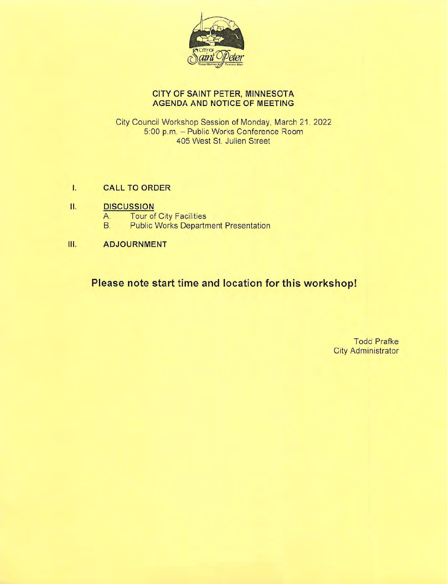

# CITY OF SAINT PETER, MINNESOTA **AGENDA AND NOTICE OF MEETING**

City Council Workshop Session of Monday, March 21, 2022 5:00 p.m. - Public Works Conference Room 405 West St. Julien Street

#### $\mathbf{L}$ **CALL TO ORDER**

#### II. **DISCUSSION**

- **Tour of City Facilities** A.
- **B. Public Works Department Presentation**
- Ш. **ADJOURNMENT**

Please note start time and location for this workshop!

**Todd Prafke City Administrator**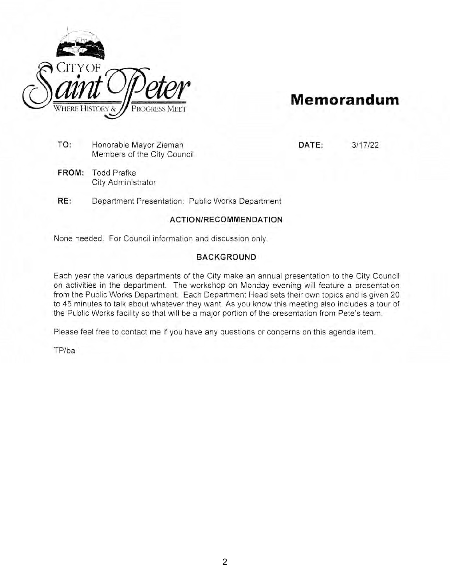

# **Memorandum**

**DATE:** 3/17/22

- **TO:** Honorable Mayor Zieman Members of the City Council
- **FROM:** Todd Prafke City Administrator

**RE:** Department Presentation: Public Works Department

### **ACTION/RECOM MEN DATION**

None needed. For Council information and discussion only.

### **BACKGROUND**

Each year the various departments of the City make an annual presentation to the City Council on activities in the department. The workshop on Monday evening will feature a presentation from the Public Works Department. Each Department Head sets their own topics and is given 20 to 45 minutes to talk about whatever they want. As you know this meeting also includes a tour of the Public Works facility so that will be a major portion of the presentation from Pete's team.

Please feel free to contact me if you have any questions or concerns on this agenda item.

TP/bal